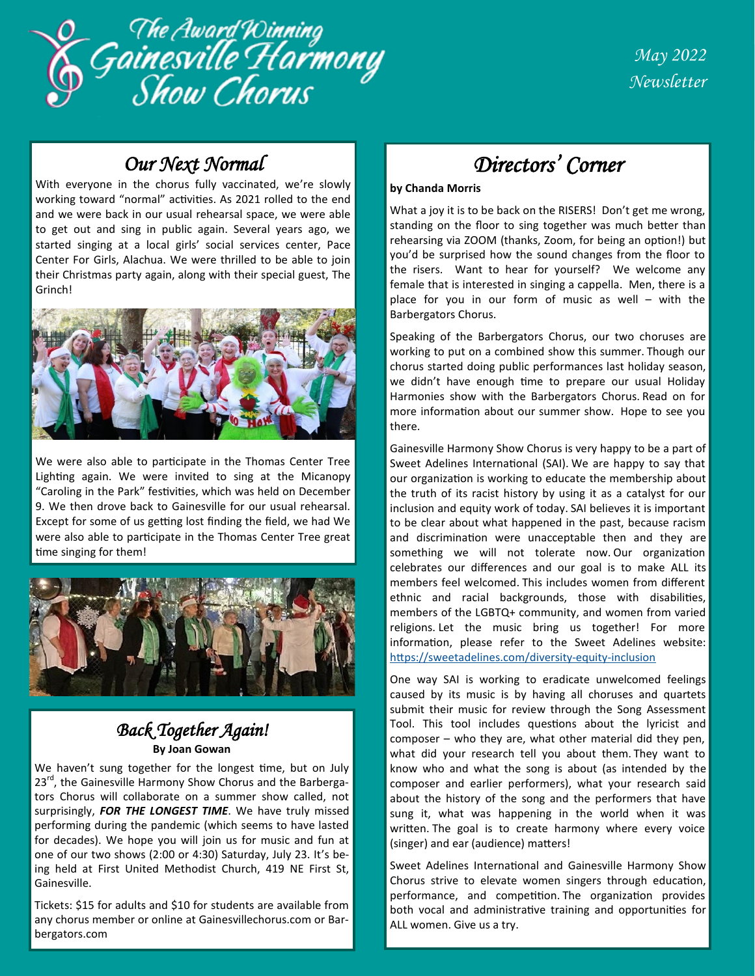

## *Our Next Normal*

With everyone in the chorus fully vaccinated, we're slowly working toward "normal" activities. As 2021 rolled to the end and we were back in our usual rehearsal space, we were able to get out and sing in public again. Several years ago, we started singing at a local girls' social services center, Pace Center For Girls, Alachua. We were thrilled to be able to join their Christmas party again, along with their special guest, The Grinch!



We were also able to participate in the Thomas Center Tree Lighting again. We were invited to sing at the Micanopy "Caroling in the Park" festivities, which was held on December 9. We then drove back to Gainesville for our usual rehearsal. Except for some of us getting lost finding the field, we had We were also able to participate in the Thomas Center Tree great time singing for them!



### *Back Together Again!*  **By Joan Gowan**

We haven't sung together for the longest time, but on July 23<sup>rd</sup>, the Gainesville Harmony Show Chorus and the Barbergators Chorus will collaborate on a summer show called, not surprisingly, *FOR THE LONGEST TIME*. We have truly missed performing during the pandemic (which seems to have lasted for decades). We hope you will join us for music and fun at one of our two shows (2:00 or 4:30) Saturday, July 23. It's being held at First United Methodist Church, 419 NE First St, Gainesville.

Tickets: \$15 for adults and \$10 for students are available from any chorus member or online at Gainesvillechorus.com or Barbergators.com

# *Directors' Corner*

#### **by Chanda Morris**

What a joy it is to be back on the RISERS! Don't get me wrong, standing on the floor to sing together was much better than rehearsing via ZOOM (thanks, Zoom, for being an option!) but you'd be surprised how the sound changes from the floor to the risers. Want to hear for yourself? We welcome any female that is interested in singing a cappella. Men, there is a place for you in our form of music as well – with the Barbergators Chorus.

Speaking of the Barbergators Chorus, our two choruses are working to put on a combined show this summer. Though our chorus started doing public performances last holiday season, we didn't have enough time to prepare our usual Holiday Harmonies show with the Barbergators Chorus. Read on for more information about our summer show. Hope to see you there.

Gainesville Harmony Show Chorus is very happy to be a part of Sweet Adelines International (SAI). We are happy to say that our organization is working to educate the membership about the truth of its racist history by using it as a catalyst for our inclusion and equity work of today. SAI believes it is important to be clear about what happened in the past, because racism and discrimination were unacceptable then and they are something we will not tolerate now. Our organization celebrates our differences and our goal is to make ALL its members feel welcomed. This includes women from different ethnic and racial backgrounds, those with disabilities, members of the LGBTQ+ community, and women from varied religions. Let the music bring us together! For more information, please refer to the Sweet Adelines website: [https://sweetadelines.com/diversity](https://sweetadelines.com/diversity-equity-inclusion)-equity-inclusion

One way SAI is working to eradicate unwelcomed feelings caused by its music is by having all choruses and quartets submit their music for review through the Song Assessment Tool. This tool includes questions about the lyricist and composer – who they are, what other material did they pen, what did your research tell you about them. They want to know who and what the song is about (as intended by the composer and earlier performers), what your research said about the history of the song and the performers that have sung it, what was happening in the world when it was written. The goal is to create harmony where every voice (singer) and ear (audience) matters!

Sweet Adelines International and Gainesville Harmony Show Chorus strive to elevate women singers through education, performance, and competition. The organization provides both vocal and administrative training and opportunities for ALL women. Give us a try.

1